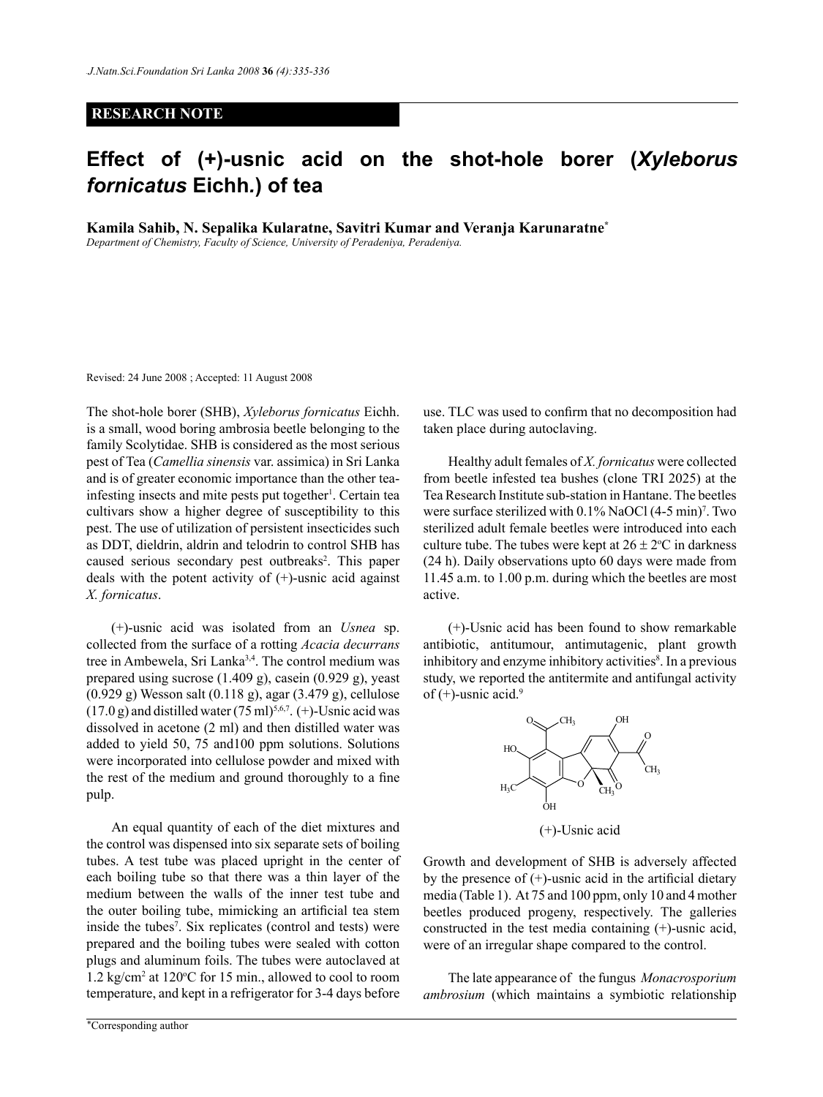## **RESEARCH NOTE**

## **Effect of (+)-usnic acid on the shot-hole borer (***Xyleborus fornicatus* **Eichh***.***) of tea**

**Kamila Sahib, N. Sepalika Kularatne, Savitri Kumar and Veranja Karunaratne\***

*Department of Chemistry, Faculty of Science, University of Peradeniya, Peradeniya.*

Revised: 24 June 2008 ; Accepted: 11 August 2008

The shot-hole borer (SHB), *Xyleborus fornicatus* Eichh. is a small, wood boring ambrosia beetle belonging to the family Scolytidae. SHB is considered as the most serious pest of Tea (*Camellia sinensis* var. assimica) in Sri Lanka and is of greater economic importance than the other teainfesting insects and mite pests put together<sup>1</sup>. Certain tea cultivars show a higher degree of susceptibility to this pest. The use of utilization of persistent insecticides such as DDT, dieldrin, aldrin and telodrin to control SHB has caused serious secondary pest outbreaks<sup>2</sup>. This paper deals with the potent activity of (+)-usnic acid against *X. fornicatus*.

(+)-usnic acid was isolated from an *Usnea* sp. collected from the surface of a rotting *Acacia decurrans*  tree in Ambewela, Sri Lanka<sup>3,4</sup>. The control medium was prepared using sucrose (1.409 g), casein (0.929 g), yeast (0.929 g) Wesson salt (0.118 g), agar (3.479 g), cellulose  $(17.0 \text{ g})$  and distilled water  $(75 \text{ ml})^{5,6,7}$ . (+)-Usnic acid was dissolved in acetone (2 ml) and then distilled water was added to yield 50, 75 and100 ppm solutions. Solutions were incorporated into cellulose powder and mixed with the rest of the medium and ground thoroughly to a fine pulp.

An equal quantity of each of the diet mixtures and the control was dispensed into six separate sets of boiling tubes. A test tube was placed upright in the center of each boiling tube so that there was a thin layer of the medium between the walls of the inner test tube and the outer boiling tube, mimicking an artificial tea stem inside the tubes<sup>7</sup>. Six replicates (control and tests) were prepared and the boiling tubes were sealed with cotton plugs and aluminum foils. The tubes were autoclaved at 1.2 kg/cm<sup>2</sup> at 120°C for 15 min., allowed to cool to room temperature, and kept in a refrigerator for 3-4 days before

use. TLC was used to confirm that no decomposition had taken place during autoclaving.

Healthy adult females of *X. fornicatus* were collected from beetle infested tea bushes (clone TRI 2025) at the Tea Research Institute sub-station in Hantane. The beetles were surface sterilized with 0.1% NaOCl (4-5 min)<sup>7</sup>. Two sterilized adult female beetles were introduced into each culture tube. The tubes were kept at  $26 \pm 2$ °C in darkness (24 h). Daily observations upto 60 days were made from 11.45 a.m. to 1.00 p.m. during which the beetles are most active.

(+)-Usnic acid has been found to show remarkable antibiotic, antitumour, antimutagenic, plant growth inhibitory and enzyme inhibitory activities<sup>8</sup>. In a previous study, we reported the antitermite and antifungal activity of  $(+)$ -usnic acid.<sup>9</sup>



(+)-Usnic acid

Growth and development of SHB is adversely affected by the presence of  $(+)$ -usnic acid in the artificial dietary media (Table 1). At 75 and 100 ppm, only 10 and 4 mother beetles produced progeny, respectively. The galleries constructed in the test media containing (+)-usnic acid, were of an irregular shape compared to the control.

The late appearance of the fungus *Monacrosporium ambrosium* (which maintains a symbiotic relationship